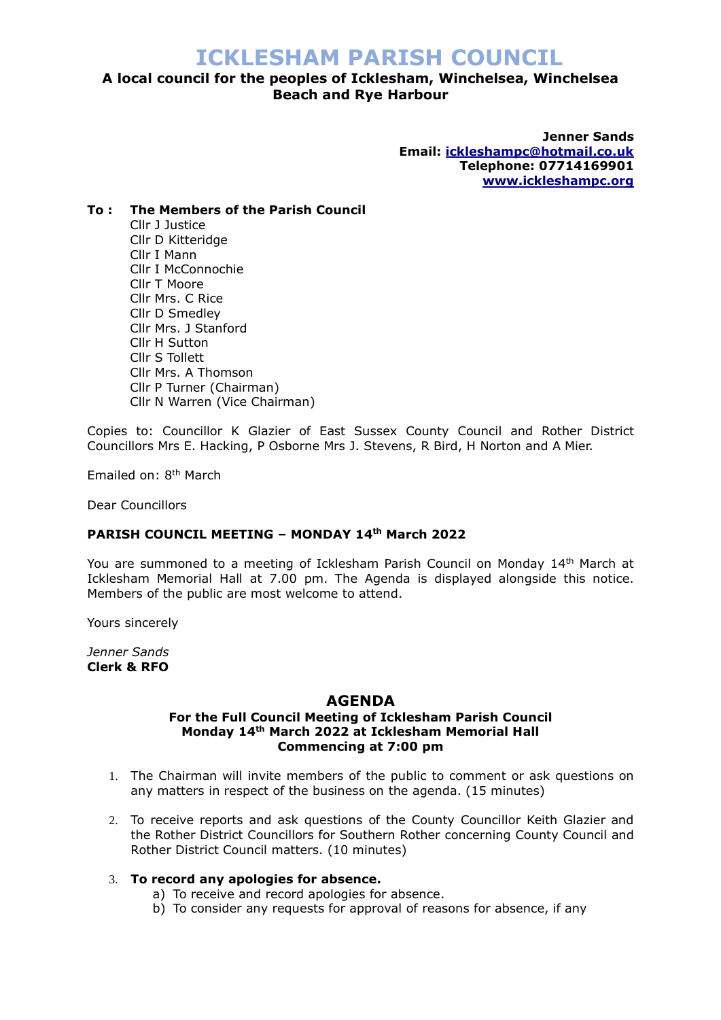# **ICKLESHAM PARISH COUNCIL**

# **A local council for the peoples of Icklesham, Winchelsea, Winchelsea Beach and Rye Harbour**

**Jenner Sands Email: [ickleshampc@hotmail.co.uk](mailto:ickleshampc@hotmail.co.uk) Telephone: 07714169901 [www.ickleshampc.org](http://www.ickleshampc.org/)**

### **To : The Members of the Parish Council**

Cllr J Justice Cllr D Kitteridge Cllr I Mann Cllr I McConnochie Cllr T Moore Cllr Mrs. C Rice Cllr D Smedley Cllr Mrs. J Stanford Cllr H Sutton Cllr S Tollett Cllr Mrs. A Thomson Cllr P Turner (Chairman) Cllr N Warren (Vice Chairman)

Copies to: Councillor K Glazier of East Sussex County Council and Rother District Councillors Mrs E. Hacking, P Osborne Mrs J. Stevens, R Bird, H Norton and A Mier.

Emailed on: 8<sup>th</sup> March

Dear Councillors

## **PARISH COUNCIL MEETING – MONDAY 14th March 2022**

You are summoned to a meeting of Icklesham Parish Council on Monday 14<sup>th</sup> March at Icklesham Memorial Hall at 7.00 pm. The Agenda is displayed alongside this notice. Members of the public are most welcome to attend.

Yours sincerely

*Jenner Sands* **Clerk & RFO**

#### **AGENDA**

#### **For the Full Council Meeting of Icklesham Parish Council Monday 14th March 2022 at Icklesham Memorial Hall Commencing at 7:00 pm**

- 1. The Chairman will invite members of the public to comment or ask questions on any matters in respect of the business on the agenda. (15 minutes)
- 2. To receive reports and ask questions of the County Councillor Keith Glazier and the Rother District Councillors for Southern Rother concerning County Council and Rother District Council matters. (10 minutes)

#### 3. **To record any apologies for absence.**

- a) To receive and record apologies for absence.
- b) To consider any requests for approval of reasons for absence, if any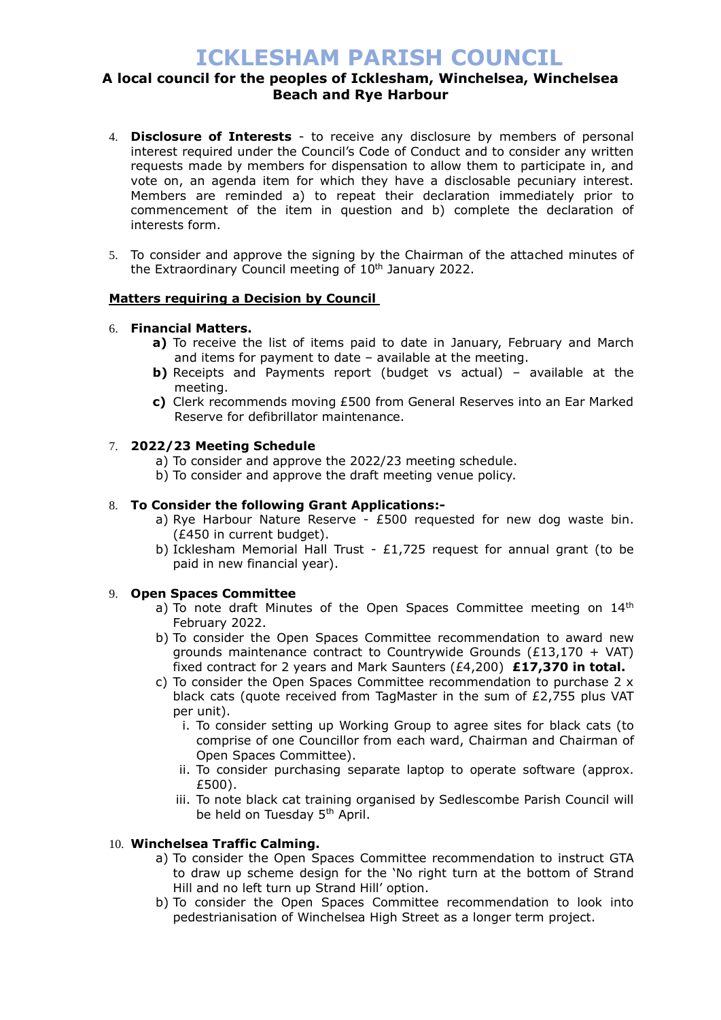# **ICKLESHAM PARISH COUNCIL**

## **A local council for the peoples of Icklesham, Winchelsea, Winchelsea Beach and Rye Harbour**

- 4. **Disclosure of Interests** to receive any disclosure by members of personal interest required under the Council's Code of Conduct and to consider any written requests made by members for dispensation to allow them to participate in, and vote on, an agenda item for which they have a disclosable pecuniary interest. Members are reminded a) to repeat their declaration immediately prior to commencement of the item in question and b) complete the declaration of interests form.
- 5. To consider and approve the signing by the Chairman of the attached minutes of the Extraordinary Council meeting of 10<sup>th</sup> January 2022.

## **Matters requiring a Decision by Council**

## 6. **Financial Matters.**

- **a)** To receive the list of items paid to date in January, February and March and items for payment to date – available at the meeting.
- **b)** Receipts and Payments report (budget vs actual) available at the meeting.
- **c)** Clerk recommends moving £500 from General Reserves into an Ear Marked Reserve for defibrillator maintenance.

## 7. **2022/23 Meeting Schedule**

- a) To consider and approve the 2022/23 meeting schedule.
- b) To consider and approve the draft meeting venue policy.

### 8. **To Consider the following Grant Applications:-**

- a) Rye Harbour Nature Reserve £500 requested for new dog waste bin. (£450 in current budget).
- b) Icklesham Memorial Hall Trust £1,725 request for annual grant (to be paid in new financial year).

#### 9. **Open Spaces Committee**

- a) To note draft Minutes of the Open Spaces Committee meeting on  $14<sup>th</sup>$ February 2022.
- b) To consider the Open Spaces Committee recommendation to award new grounds maintenance contract to Countrywide Grounds (£13,170 + VAT) fixed contract for 2 years and Mark Saunters (£4,200) **£17,370 in total.**
- c) To consider the Open Spaces Committee recommendation to purchase 2 x black cats (quote received from TagMaster in the sum of £2,755 plus VAT per unit).
	- i. To consider setting up Working Group to agree sites for black cats (to comprise of one Councillor from each ward, Chairman and Chairman of Open Spaces Committee).
	- ii. To consider purchasing separate laptop to operate software (approx. £500).
	- iii. To note black cat training organised by Sedlescombe Parish Council will be held on Tuesday 5<sup>th</sup> April.

## 10. **Winchelsea Traffic Calming.**

- a) To consider the Open Spaces Committee recommendation to instruct GTA to draw up scheme design for the 'No right turn at the bottom of Strand Hill and no left turn up Strand Hill' option.
- b) To consider the Open Spaces Committee recommendation to look into pedestrianisation of Winchelsea High Street as a longer term project.